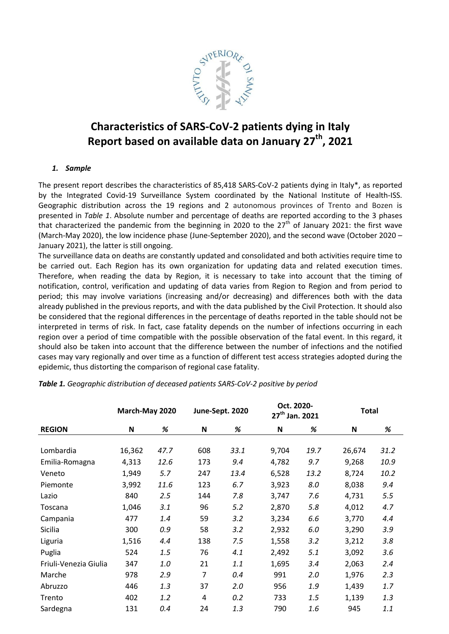

# **Characteristics of SARS-CoV-2 patients dying in Italy Report based on available data on January 27th, 2021**

## *1. Sample*

The present report describes the characteristics of 85,418 SARS-CoV-2 patients dying in Italy\*, as reported by the Integrated Covid-19 Surveillance System coordinated by the National Institute of Health-ISS. Geographic distribution across the 19 regions and 2 autonomous provinces of Trento and Bozen is presented in *Table 1*. Absolute number and percentage of deaths are reported according to the 3 phases that characterized the pandemic from the beginning in 2020 to the  $27<sup>th</sup>$  of January 2021: the first wave (March-May 2020), the low incidence phase (June-September 2020), and the second wave (October 2020 – January 2021), the latter is still ongoing.

The surveillance data on deaths are constantly updated and consolidated and both activities require time to be carried out. Each Region has its own organization for updating data and related execution times. Therefore, when reading the data by Region, it is necessary to take into account that the timing of notification, control, verification and updating of data varies from Region to Region and from period to period; this may involve variations (increasing and/or decreasing) and differences both with the data already published in the previous reports, and with the data published by the Civil Protection. It should also be considered that the regional differences in the percentage of deaths reported in the table should not be interpreted in terms of risk. In fact, case fatality depends on the number of infections occurring in each region over a period of time compatible with the possible observation of the fatal event. In this regard, it should also be taken into account that the difference between the number of infections and the notified cases may vary regionally and over time as a function of different test access strategies adopted during the epidemic, thus distorting the comparison of regional case fatality.

|                       | March-May 2020 |      |     | June-Sept. 2020 | Oct. 2020-<br>27 <sup>th</sup> Jan. 2021 |      | <b>Total</b> |      |  |
|-----------------------|----------------|------|-----|-----------------|------------------------------------------|------|--------------|------|--|
| <b>REGION</b>         | ${\bf N}$      | %    | N   | %               | N                                        | %    | N            | $\%$ |  |
|                       |                |      |     |                 |                                          |      |              |      |  |
| Lombardia             | 16,362         | 47.7 | 608 | 33.1            | 9,704                                    | 19.7 | 26,674       | 31.2 |  |
| Emilia-Romagna        | 4,313          | 12.6 | 173 | 9.4             | 4,782                                    | 9.7  | 9,268        | 10.9 |  |
| Veneto                | 1,949          | 5.7  | 247 | 13.4            | 6,528                                    | 13.2 | 8,724        | 10.2 |  |
| Piemonte              | 3,992          | 11.6 | 123 | 6.7             | 3,923                                    | 8.0  | 8,038        | 9.4  |  |
| Lazio                 | 840            | 2.5  | 144 | 7.8             | 3,747                                    | 7.6  | 4,731        | 5.5  |  |
| Toscana               | 1,046          | 3.1  | 96  | 5.2             | 2,870                                    | 5.8  | 4,012        | 4.7  |  |
| Campania              | 477            | 1.4  | 59  | 3.2             | 3,234                                    | 6.6  | 3,770        | 4.4  |  |
| Sicilia               | 300            | 0.9  | 58  | 3.2             | 2,932                                    | 6.0  | 3,290        | 3.9  |  |
| Liguria               | 1,516          | 4.4  | 138 | 7.5             | 1,558                                    | 3.2  | 3,212        | 3.8  |  |
| Puglia                | 524            | 1.5  | 76  | 4.1             | 2,492                                    | 5.1  | 3,092        | 3.6  |  |
| Friuli-Venezia Giulia | 347            | 1.0  | 21  | 1.1             | 1,695                                    | 3.4  | 2,063        | 2.4  |  |
| Marche                | 978            | 2.9  | 7   | 0.4             | 991                                      | 2.0  | 1,976        | 2.3  |  |
| Abruzzo               | 446            | 1.3  | 37  | 2.0             | 956                                      | 1.9  | 1,439        | 1.7  |  |
| Trento                | 402            | 1.2  | 4   | 0.2             | 733                                      | 1.5  | 1,139        | 1.3  |  |
| Sardegna              | 131            | 0.4  | 24  | 1.3             | 790                                      | 1.6  | 945          | 1.1  |  |

*Table 1. Geographic distribution of deceased patients SARS-CoV-2 positive by period*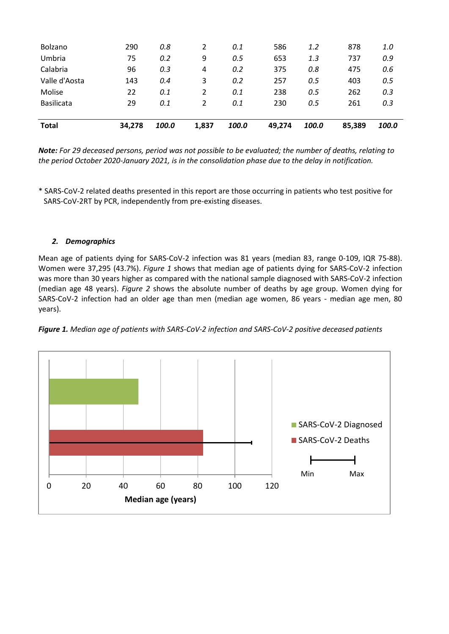| <b>Total</b>      | 34,278 | 100.0 | 1,837          | 100.0 | 49,274 | 100.0 | 85,389 | 100.0 |
|-------------------|--------|-------|----------------|-------|--------|-------|--------|-------|
|                   |        |       |                |       |        |       |        |       |
| <b>Basilicata</b> | 29     | 0.1   | 2              | 0.1   | 230    | 0.5   | 261    | 0.3   |
| Molise            | 22     | 0.1   | $\overline{2}$ | 0.1   | 238    | 0.5   | 262    | 0.3   |
| Valle d'Aosta     | 143    | 0.4   | 3              | 0.2   | 257    | 0.5   | 403    | 0.5   |
| Calabria          | 96     | 0.3   | $\overline{4}$ | 0.2   | 375    | 0.8   | 475    | 0.6   |
| Umbria            | 75     | 0.2   | 9              | 0.5   | 653    | 1.3   | 737    | 0.9   |
| Bolzano           | 290    | 0.8   | 2              | 0.1   | 586    | 1.2   | 878    | 1.0   |
|                   |        |       |                |       |        |       |        |       |

*Note: For 29 deceased persons, period was not possible to be evaluated; the number of deaths, relating to the period October 2020-January 2021, is in the consolidation phase due to the delay in notification.*

\* SARS-CoV-2 related deaths presented in this report are those occurring in patients who test positive for SARS-CoV-2RT by PCR, independently from pre-existing diseases.

## *2. Demographics*

Mean age of patients dying for SARS-CoV-2 infection was 81 years (median 83, range 0-109, IQR 75-88). Women were 37,295 (43.7%). *Figure 1* shows that median age of patients dying for SARS-CoV-2 infection was more than 30 years higher as compared with the national sample diagnosed with SARS-CoV-2 infection (median age 48 years). *Figure 2* shows the absolute number of deaths by age group. Women dying for SARS-CoV-2 infection had an older age than men (median age women, 86 years - median age men, 80 years).



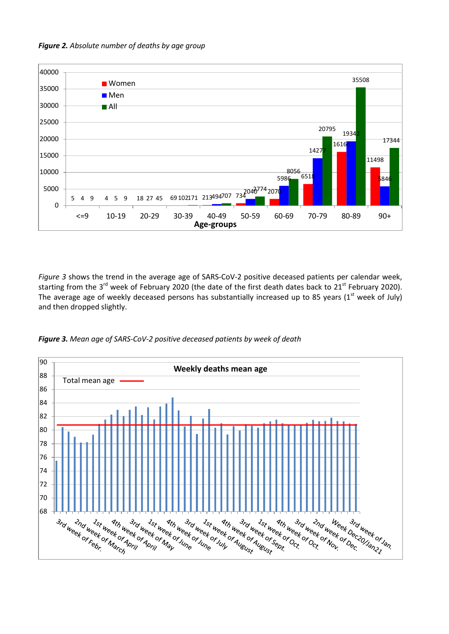



*Figure 3* shows the trend in the average age of SARS-CoV-2 positive deceased patients per calendar week, starting from the 3<sup>rd</sup> week of February 2020 (the date of the first death dates back to 21<sup>st</sup> February 2020). The average age of weekly deceased persons has substantially increased up to 85 years ( $1<sup>st</sup>$  week of July) and then dropped slightly.



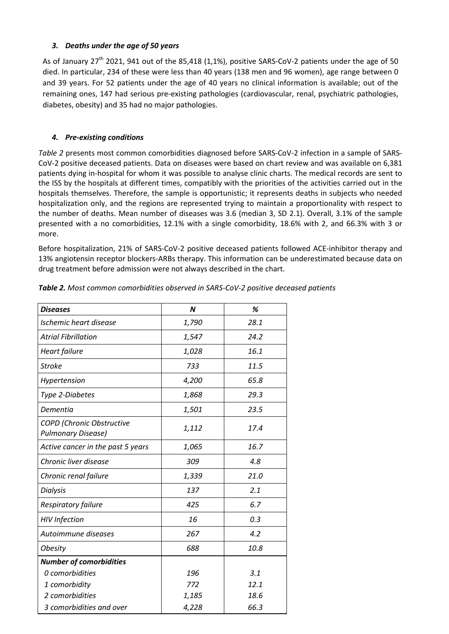## *3. Deaths under the age of 50 years*

As of January  $27<sup>th</sup>$  2021, 941 out of the 85,418 (1,1%), positive SARS-CoV-2 patients under the age of 50 died. In particular, 234 of these were less than 40 years (138 men and 96 women), age range between 0 and 39 years. For 52 patients under the age of 40 years no clinical information is available; out of the remaining ones, 147 had serious pre-existing pathologies (cardiovascular, renal, psychiatric pathologies, diabetes, obesity) and 35 had no major pathologies.

## *4. Pre-existing conditions*

*Table 2* presents most common comorbidities diagnosed before SARS-CoV-2 infection in a sample of SARS-CoV-2 positive deceased patients. Data on diseases were based on chart review and was available on 6,381 patients dying in-hospital for whom it was possible to analyse clinic charts. The medical records are sent to the ISS by the hospitals at different times, compatibly with the priorities of the activities carried out in the hospitals themselves. Therefore, the sample is opportunistic; it represents deaths in subjects who needed hospitalization only, and the regions are represented trying to maintain a proportionality with respect to the number of deaths. Mean number of diseases was 3.6 (median 3, SD 2.1). Overall, 3.1% of the sample presented with a no comorbidities, 12.1% with a single comorbidity, 18.6% with 2, and 66.3% with 3 or more.

Before hospitalization, 21% of SARS-CoV-2 positive deceased patients followed ACE-inhibitor therapy and 13% angiotensin receptor blockers-ARBs therapy. This information can be underestimated because data on drug treatment before admission were not always described in the chart.

| <b>Diseases</b>                                        | $\boldsymbol{N}$ | %    |
|--------------------------------------------------------|------------------|------|
| Ischemic heart disease                                 | 1,790            | 28.1 |
| <b>Atrial Fibrillation</b>                             | 1,547            | 24.2 |
| Heart failure                                          | 1,028            | 16.1 |
| <b>Stroke</b>                                          | 733              | 11.5 |
| Hypertension                                           | 4,200            | 65.8 |
| Type 2-Diabetes                                        | 1,868            | 29.3 |
| Dementia                                               | 1,501            | 23.5 |
| COPD (Chronic Obstructive<br><b>Pulmonary Disease)</b> | 1,112            | 17.4 |
| Active cancer in the past 5 years                      | 1,065            | 16.7 |
| Chronic liver disease                                  | 309              | 4.8  |
| Chronic renal failure                                  | 1,339            | 21.0 |
| <b>Dialysis</b>                                        | 137              | 2.1  |
| Respiratory failure                                    | 425              | 6.7  |
| <b>HIV</b> Infection                                   | 16               | 0.3  |
| Autoimmune diseases                                    | 267              | 4.2  |
| <b>Obesity</b>                                         | 688              | 10.8 |
| <b>Number of comorbidities</b>                         |                  |      |
| 0 comorbidities                                        | 196              | 3.1  |
| 1 comorbidity                                          | 772              | 12.1 |
| 2 comorbidities                                        | 1,185            | 18.6 |
| 3 comorbidities and over                               | 4,228            | 66.3 |

*Table 2. Most common comorbidities observed in SARS-CoV-2 positive deceased patients*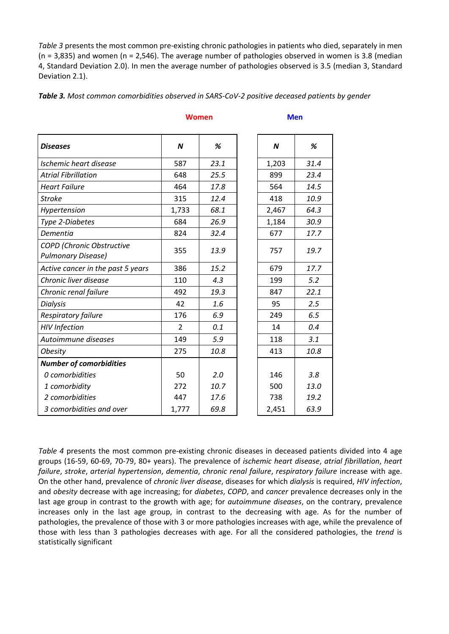*Table 3* presents the most common pre-existing chronic pathologies in patients who died, separately in men  $(n = 3,835)$  and women  $(n = 2,546)$ . The average number of pathologies observed in women is 3.8 (median 4, Standard Deviation 2.0). In men the average number of pathologies observed is 3.5 (median 3, Standard Deviation 2.1).

*Table 3. Most common comorbidities observed in SARS-CoV-2 positive deceased patients by gender*

| <b>Diseases</b>                                        | N              | %    | $\boldsymbol{N}$ | %    |
|--------------------------------------------------------|----------------|------|------------------|------|
| Ischemic heart disease                                 | 587            | 23.1 | 1,203            | 31.4 |
| <b>Atrial Fibrillation</b>                             | 648            | 25.5 | 899              | 23.4 |
| <b>Heart Failure</b>                                   | 464            | 17.8 | 564              | 14.5 |
| <b>Stroke</b>                                          | 315            | 12.4 | 418              | 10.9 |
| Hypertension                                           | 1,733          | 68.1 | 2,467            | 64.3 |
| Type 2-Diabetes                                        | 684            | 26.9 | 1,184            | 30.9 |
| Dementia                                               | 824            | 32.4 | 677              | 17.7 |
| COPD (Chronic Obstructive<br><b>Pulmonary Disease)</b> | 355            | 13.9 | 757              | 19.7 |
| Active cancer in the past 5 years                      | 386            | 15.2 | 679              | 17.7 |
| Chronic liver disease                                  | 110            | 4.3  | 199              | 5.2  |
| Chronic renal failure                                  | 492            | 19.3 | 847              | 22.1 |
| <b>Dialysis</b>                                        | 42             | 1.6  | 95               | 2.5  |
| Respiratory failure                                    | 176            | 6.9  | 249              | 6.5  |
| <b>HIV Infection</b>                                   | $\overline{2}$ | 0.1  | 14               | 0.4  |
| Autoimmune diseases                                    | 149            | 5.9  | 118              | 3.1  |
| <b>Obesity</b>                                         | 275            | 10.8 | 413              | 10.8 |
| <b>Number of comorbidities</b>                         |                |      |                  |      |
| 0 comorbidities                                        | 50             | 2.0  | 146              | 3.8  |
| 1 comorbidity                                          | 272            | 10.7 | 500              | 13.0 |
| 2 comorbidities                                        | 447            | 17.6 | 738              | 19.2 |
| 3 comorbidities and over                               | 1,777          | 69.8 | 2,451            | 63.9 |

*Table 4* presents the most common pre-existing chronic diseases in deceased patients divided into 4 age groups (16-59, 60-69, 70-79, 80+ years). The prevalence of *ischemic heart disease*, *atrial fibrillation*, *heart failure*, *stroke*, *arterial hypertension*, *dementia*, *chronic renal failure*, *respiratory failure* increase with age. On the other hand, prevalence of *chronic liver disease*, diseases for which *dialysis* is required, *HIV infection*, and *obesity* decrease with age increasing; for *diabetes*, *COPD*, and *cancer* prevalence decreases only in the last age group in contrast to the growth with age; for *autoimmune diseases*, on the contrary, prevalence increases only in the last age group, in contrast to the decreasing with age. As for the number of pathologies, the prevalence of those with 3 or more pathologies increases with age, while the prevalence of those with less than 3 pathologies decreases with age. For all the considered pathologies, the *trend* is statistically significant

#### **Women Men**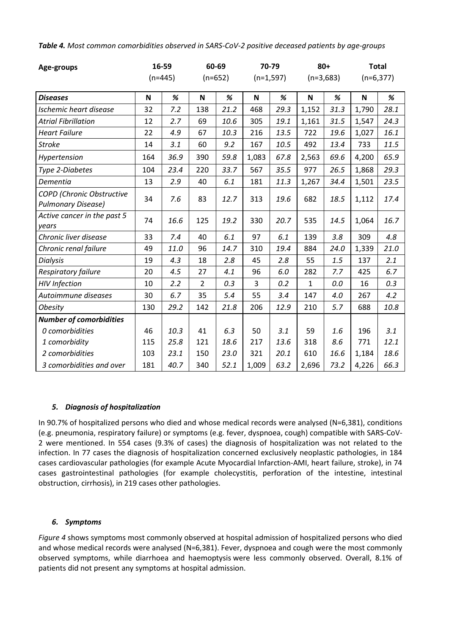| Age-groups                                                    | 16-59     |      | 60-69          |      | 70-79       |      | $80 +$       |      | <b>Total</b> |      |
|---------------------------------------------------------------|-----------|------|----------------|------|-------------|------|--------------|------|--------------|------|
|                                                               | $(n=445)$ |      | $(n=652)$      |      | $(n=1,597)$ |      | $(n=3,683)$  |      | $(n=6,377)$  |      |
| <b>Diseases</b>                                               | N         | %    | N              | %    | N           | %    | N            | %    | N            | $\%$ |
| Ischemic heart disease                                        | 32        | 7.2  | 138            | 21.2 | 468         | 29.3 | 1,152        | 31.3 | 1,790        | 28.1 |
| <b>Atrial Fibrillation</b>                                    | 12        | 2.7  | 69             | 10.6 | 305         | 19.1 | 1,161        | 31.5 | 1,547        | 24.3 |
| <b>Heart Failure</b>                                          | 22        | 4.9  | 67             | 10.3 | 216         | 13.5 | 722          | 19.6 | 1,027        | 16.1 |
| <b>Stroke</b>                                                 | 14        | 3.1  | 60             | 9.2  | 167         | 10.5 | 492          | 13.4 | 733          | 11.5 |
| Hypertension                                                  | 164       | 36.9 | 390            | 59.8 | 1,083       | 67.8 | 2,563        | 69.6 | 4,200        | 65.9 |
| Type 2-Diabetes                                               | 104       | 23.4 | 220            | 33.7 | 567         | 35.5 | 977          | 26.5 | 1,868        | 29.3 |
| Dementia                                                      | 13        | 2.9  | 40             | 6.1  | 181         | 11.3 | 1,267        | 34.4 | 1,501        | 23.5 |
| <b>COPD</b> (Chronic Obstructive<br><b>Pulmonary Disease)</b> | 34        | 7.6  | 83             | 12.7 | 313         | 19.6 | 682          | 18.5 | 1,112        | 17.4 |
| Active cancer in the past 5<br>years                          | 74        | 16.6 | 125            | 19.2 | 330         | 20.7 | 535          | 14.5 | 1,064        | 16.7 |
| Chronic liver disease                                         | 33        | 7.4  | 40             | 6.1  | 97          | 6.1  | 139          | 3.8  | 309          | 4.8  |
| Chronic renal failure                                         | 49        | 11.0 | 96             | 14.7 | 310         | 19.4 | 884          | 24.0 | 1,339        | 21.0 |
| <b>Dialysis</b>                                               | 19        | 4.3  | 18             | 2.8  | 45          | 2.8  | 55           | 1.5  | 137          | 2.1  |
| <b>Respiratory failure</b>                                    | 20        | 4.5  | 27             | 4.1  | 96          | 6.0  | 282          | 7.7  | 425          | 6.7  |
| <b>HIV</b> Infection                                          | 10        | 2.2  | $\overline{2}$ | 0.3  | 3           | 0.2  | $\mathbf{1}$ | 0.0  | 16           | 0.3  |
| Autoimmune diseases                                           | 30        | 6.7  | 35             | 5.4  | 55          | 3.4  | 147          | 4.0  | 267          | 4.2  |
| <b>Obesity</b>                                                | 130       | 29.2 | 142            | 21.8 | 206         | 12.9 | 210          | 5.7  | 688          | 10.8 |
| <b>Number of comorbidities</b>                                |           |      |                |      |             |      |              |      |              |      |
| 0 comorbidities                                               | 46        | 10.3 | 41             | 6.3  | 50          | 3.1  | 59           | 1.6  | 196          | 3.1  |
| 1 comorbidity                                                 | 115       | 25.8 | 121            | 18.6 | 217         | 13.6 | 318          | 8.6  | 771          | 12.1 |
| 2 comorbidities                                               | 103       | 23.1 | 150            | 23.0 | 321         | 20.1 | 610          | 16.6 | 1,184        | 18.6 |
| 3 comorbidities and over                                      | 181       | 40.7 | 340            | 52.1 | 1,009       | 63.2 | 2,696        | 73.2 | 4,226        | 66.3 |

*Table 4. Most common comorbidities observed in SARS-CoV-2 positive deceased patients by age-groups*

## *5. Diagnosis of hospitalization*

In 90.7% of hospitalized persons who died and whose medical records were analysed (N=6,381), conditions (e.g. pneumonia, respiratory failure) or symptoms (e.g. fever, dyspnoea, cough) compatible with SARS-CoV-2 were mentioned. In 554 cases (9.3% of cases) the diagnosis of hospitalization was not related to the infection. In 77 cases the diagnosis of hospitalization concerned exclusively neoplastic pathologies, in 184 cases cardiovascular pathologies (for example Acute Myocardial Infarction-AMI, heart failure, stroke), in 74 cases gastrointestinal pathologies (for example cholecystitis, perforation of the intestine, intestinal obstruction, cirrhosis), in 219 cases other pathologies.

#### *6. Symptoms*

*Figure 4* shows symptoms most commonly observed at hospital admission of hospitalized persons who died and whose medical records were analysed (N=6,381). Fever, dyspnoea and cough were the most commonly observed symptoms, while diarrhoea and [haemoptysis](https://context.reverso.net/translation/english-italian/Hemoptysis) were less commonly observed. Overall, 8.1% of patients did not present any symptoms at hospital admission.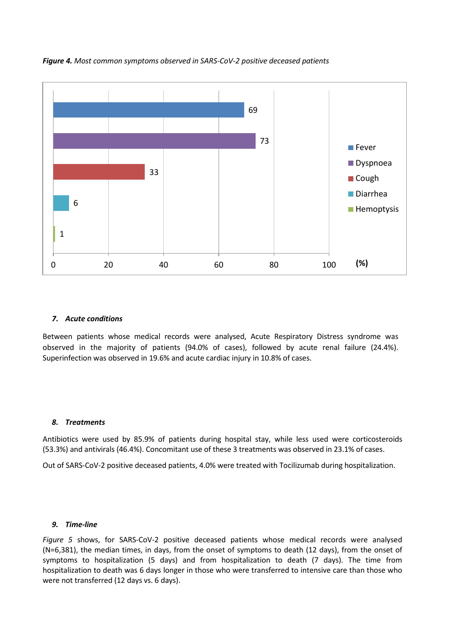

*Figure 4. Most common symptoms observed in SARS-CoV-2 positive deceased patients*

#### *7. Acute conditions*

Between patients whose medical records were analysed, Acute Respiratory Distress syndrome was observed in the majority of patients (94.0% of cases), followed by acute renal failure (24.4%). Superinfection was observed in 19.6% and acute cardiac injury in 10.8% of cases.

#### *8. Treatments*

Antibiotics were used by 85.9% of patients during hospital stay, while less used were corticosteroids (53.3%) and antivirals (46.4%). Concomitant use of these 3 treatments was observed in 23.1% of cases.

Out of SARS-CoV-2 positive deceased patients, 4.0% were treated with Tocilizumab during hospitalization.

#### *9. Time-line*

*Figure 5* shows, for SARS-CoV-2 positive deceased patients whose medical records were analysed (N=6,381), the median times, in days, from the onset of symptoms to death (12 days), from the onset of symptoms to hospitalization (5 days) and from hospitalization to death (7 days). The time from hospitalization to death was 6 days longer in those who were transferred to intensive care than those who were not transferred (12 days vs. 6 days).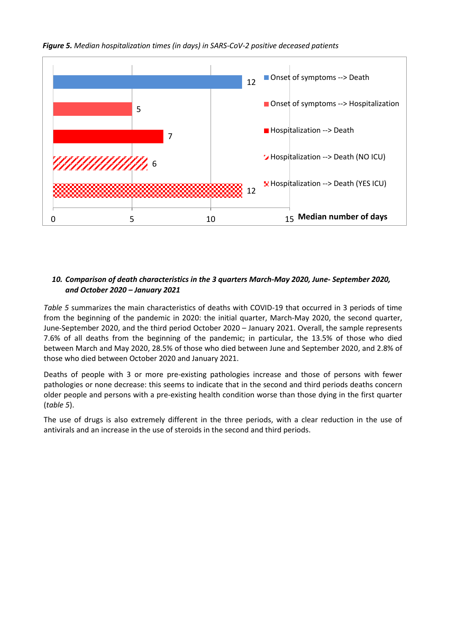



# *10. Comparison of death characteristics in the 3 quarters March-May 2020, June- September 2020, and October 2020 – January 2021*

*Table 5* summarizes the main characteristics of deaths with COVID-19 that occurred in 3 periods of time from the beginning of the pandemic in 2020: the initial quarter, March-May 2020, the second quarter, June-September 2020, and the third period October 2020 – January 2021. Overall, the sample represents 7.6% of all deaths from the beginning of the pandemic; in particular, the 13.5% of those who died between March and May 2020, 28.5% of those who died between June and September 2020, and 2.8% of those who died between October 2020 and January 2021.

Deaths of people with 3 or more pre-existing pathologies increase and those of persons with fewer pathologies or none decrease: this seems to indicate that in the second and third periods deaths concern older people and persons with a pre-existing health condition worse than those dying in the first quarter (*table 5*).

The use of drugs is also extremely different in the three periods, with a clear reduction in the use of antivirals and an increase in the use of steroids in the second and third periods.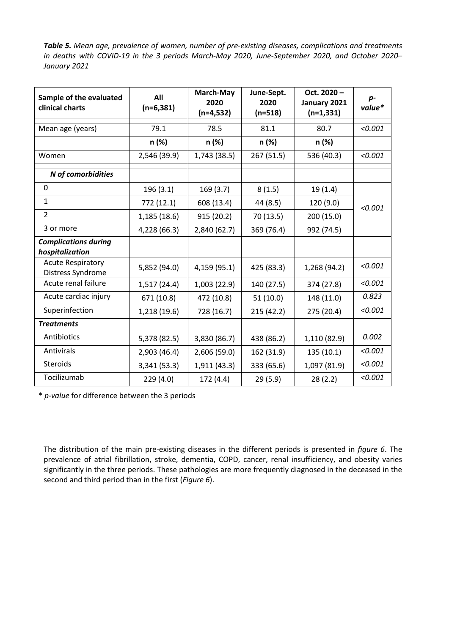*Table 5. Mean age, prevalence of women, number of pre-existing diseases, complications and treatments in deaths with COVID-19 in the 3 periods March-May 2020, June-September 2020, and October 2020– January 2021*

| Sample of the evaluated<br>clinical charts     | All<br>$(n=6, 381)$ | March-May<br>2020<br>$(n=4,532)$ | June-Sept.<br>2020<br>$(n=518)$ | Oct. 2020-<br>January 2021<br>$(n=1, 331)$ | $p-$<br>value* |
|------------------------------------------------|---------------------|----------------------------------|---------------------------------|--------------------------------------------|----------------|
| Mean age (years)                               | 79.1                | 78.5                             | 81.1                            | 80.7                                       | < 0.001        |
|                                                | n (%)               | n (%)                            | n (%)                           | n (%)                                      |                |
| Women                                          | 2,546 (39.9)        | 1,743 (38.5)                     | 267 (51.5)                      | 536 (40.3)                                 | < 0.001        |
| N of comorbidities                             |                     |                                  |                                 |                                            |                |
| 0                                              | 196 (3.1)           | 169(3.7)                         | 8(1.5)                          | 19(1.4)                                    |                |
| $\mathbf{1}$                                   | 772 (12.1)          | 608 (13.4)                       | 44 (8.5)                        | 120 (9.0)                                  | < 0.001        |
| $\overline{2}$                                 | 1,185(18.6)         | 915 (20.2)                       | 70 (13.5)                       | 200 (15.0)                                 |                |
| 3 or more                                      | 4,228 (66.3)        | 2,840 (62.7)                     | 369 (76.4)                      | 992 (74.5)                                 |                |
| <b>Complications during</b><br>hospitalization |                     |                                  |                                 |                                            |                |
| <b>Acute Respiratory</b><br>Distress Syndrome  | 5,852 (94.0)        | 4,159 (95.1)                     | 425 (83.3)                      | 1,268 (94.2)                               | < 0.001        |
| Acute renal failure                            | 1,517(24.4)         | 1,003(22.9)                      | 140 (27.5)                      | 374 (27.8)                                 | < 0.001        |
| Acute cardiac injury                           | 671 (10.8)          | 472 (10.8)                       | 51(10.0)                        | 148 (11.0)                                 | 0.823          |
| Superinfection                                 | 1,218 (19.6)        | 728 (16.7)                       | 215 (42.2)                      | 275 (20.4)                                 | < 0.001        |
| <b>Treatments</b>                              |                     |                                  |                                 |                                            |                |
| Antibiotics                                    | 5,378 (82.5)        | 3,830 (86.7)                     | 438 (86.2)                      | 1,110 (82.9)                               | 0.002          |
| <b>Antivirals</b>                              | 2,903 (46.4)        | 2,606 (59.0)                     | 162 (31.9)                      | 135 (10.1)                                 | < 0.001        |
| <b>Steroids</b>                                | 3,341 (53.3)        | 1,911(43.3)                      | 333 (65.6)                      | 1,097 (81.9)                               | < 0.001        |
| Tocilizumab                                    | 229(4.0)            | 172(4.4)                         | 29(5.9)                         | 28(2.2)                                    | < 0.001        |

\* *p-value* for difference between the 3 periods

The distribution of the main pre-existing diseases in the different periods is presented in *figure 6*. The prevalence of atrial fibrillation, stroke, dementia, COPD, cancer, renal insufficiency, and obesity varies significantly in the three periods. These pathologies are more frequently diagnosed in the deceased in the second and third period than in the first (*Figure 6*).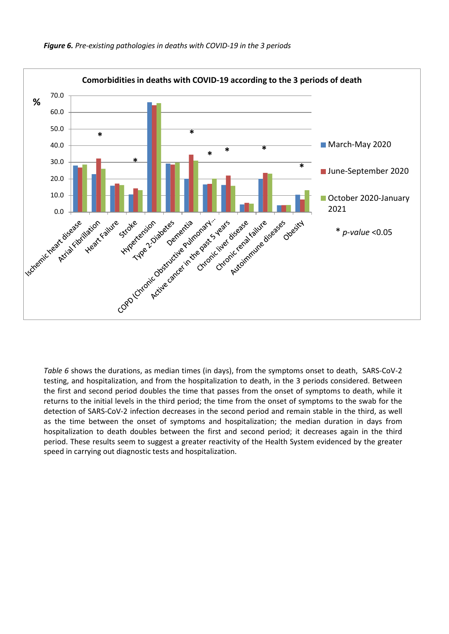

*Table 6* shows the durations, as median times (in days), from the symptoms onset to death, SARS-CoV-2 testing, and hospitalization, and from the hospitalization to death, in the 3 periods considered. Between the first and second period doubles the time that passes from the onset of symptoms to death, while it returns to the initial levels in the third period; the time from the onset of symptoms to the swab for the detection of SARS-CoV-2 infection decreases in the second period and remain stable in the third, as well as the time between the onset of symptoms and hospitalization; the median duration in days from hospitalization to death doubles between the first and second period; it decreases again in the third period. These results seem to suggest a greater reactivity of the Health System evidenced by the greater speed in carrying out diagnostic tests and hospitalization.